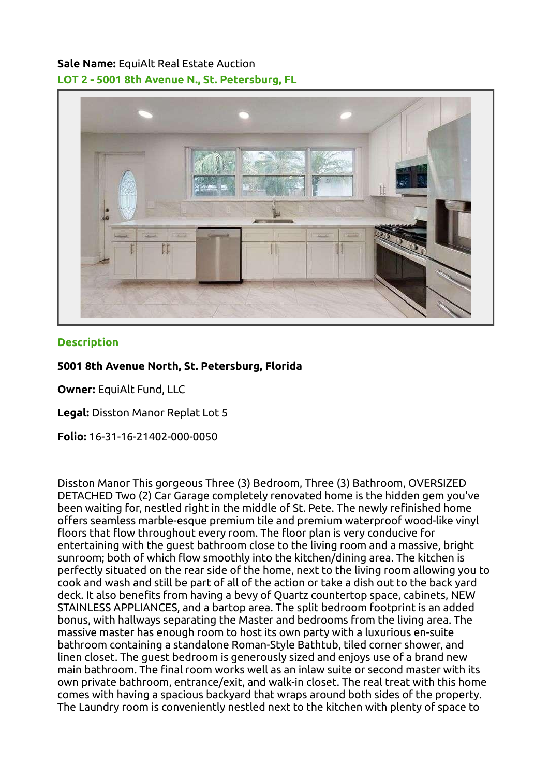## Sale Name: EquiAlt Real Estate Auction LOT 2 - 5001 8th Avenue N., St. Petersburg, FL



## **Description**

## 5001 8th Avenue North, St. Petersburg, Florida

Owner: EquiAlt Fund, LLC

Legal: Disston Manor Replat Lot 5

Folio: 16-31-16-21402-000-0050

Disston Manor This gorgeous Three (3) Bedroom, Three (3) Bathroom, OVERSIZED DETACHED Two (2) Car Garage completely renovated home is the hidden gem you've been waiting for, nestled right in the middle of St. Pete. The newly refinished home offers seamless marble-esque premium tile and premium waterproof wood-like vinyl floors that flow throughout every room. The floor plan is very conducive for entertaining with the guest bathroom close to the living room and a massive, bright sunroom; both of which flow smoothly into the kitchen/dining area. The kitchen is perfectly situated on the rear side of the home, next to the living room allowing you to cook and wash and still be part of all of the action or take a dish out to the back yard deck. It also benefits from having a bevy of Quartz countertop space, cabinets, NEW STAINLESS APPLIANCES, and a bartop area. The split bedroom footprint is an added bonus, with hallways separating the Master and bedrooms from the living area. The massive master has enough room to host its own party with a luxurious en-suite bathroom containing a standalone Roman-Style Bathtub, tiled corner shower, and linen closet. The guest bedroom is generously sized and enjoys use of a brand new main bathroom. The final room works well as an inlaw suite or second master with its own private bathroom, entrance/exit, and walk-in closet. The real treat with this home comes with having a spacious backyard that wraps around both sides of the property. The Laundry room is conveniently nestled next to the kitchen with plenty of space to